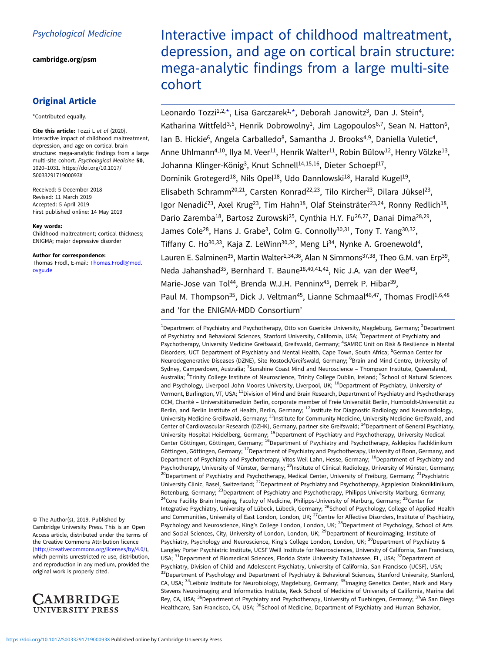# Psychological Medicine

[cambridge.org/psm](https://www.cambridge.org/psm)

# Original Article

\*Contributed equally.

Cite this article: Tozzi L et al (2020). Interactive impact of childhood maltreatment, depression, and age on cortical brain structure: mega-analytic findings from a large multi-site cohort. Psychological Medicine 50, 1020–1031. [https://doi.org/10.1017/](https://doi.org/10.1017/S003329171900093X) [S003329171900093X](https://doi.org/10.1017/S003329171900093X)

Received: 5 December 2018 Revised: 11 March 2019 Accepted: 5 April 2019 First published online: 14 May 2019

#### Key words:

Childhood maltreatment; cortical thickness; ENIGMA; major depressive disorder

#### Author for correspondence:

Thomas Frodl, E-mail: [Thomas.Frodl@med.](mailto:Thomas.Frodl@med.ovgu.de) [ovgu.de](mailto:Thomas.Frodl@med.ovgu.de)

© The Author(s), 2019. Published by Cambridge University Press. This is an Open Access article, distributed under the terms of the Creative Commons Attribution licence ([http://creativecommons.org/licenses/by/4.0/\)](http://creativecommons.org/licenses/by/4.0/), which permits unrestricted re-use, distribution, and reproduction in any medium, provided the original work is properly cited.



Interactive impact of childhood maltreatment, depression, and age on cortical brain structure: mega-analytic findings from a large multi-site cohort

Leonardo Tozzi<sup>1,2,\*</sup>, Lisa Garczarek<sup>1,\*</sup>, Deborah Janowitz<sup>3</sup>, Dan J. Stein<sup>4</sup>, Katharina Wittfeld<sup>3,5</sup>, Henrik Dobrowolny<sup>1</sup>, Jim Lagopoulos<sup>6,7</sup>, Sean N. Hatton<sup>6</sup>, Ian B. Hickie<sup>6</sup>, Angela Carballedo<sup>8</sup>, Samantha J. Brooks<sup>4,9</sup>, Daniella Vuletic<sup>4</sup>, Anne Uhlmann<sup>4,10</sup>, Ilya M. Veer<sup>11</sup>, Henrik Walter<sup>11</sup>, Robin Bülow<sup>12</sup>, Henry Völzke<sup>13</sup>, Johanna Klinger-König<sup>3</sup>, Knut Schnell<sup>14,15,16</sup>, Dieter Schoepf<sup>17</sup>, Dominik Grotegerd<sup>18</sup>, Nils Opel<sup>18</sup>, Udo Dannlowski<sup>18</sup>, Harald Kugel<sup>19</sup>, Elisabeth Schramm<sup>20,21</sup>, Carsten Konrad<sup>22,23</sup>, Tilo Kircher<sup>23</sup>, Dilara Jüksel<sup>23</sup>, Igor Nenadić<sup>23</sup>, Axel Krug<sup>23</sup>, Tim Hahn<sup>18</sup>, Olaf Steinsträter<sup>23,24</sup>, Ronny Redlich<sup>18</sup>, Dario Zaremba<sup>18</sup>, Bartosz Zurowski<sup>25</sup>, Cynthia H.Y. Fu<sup>26,27</sup>, Danai Dima<sup>28,29</sup>, James Cole<sup>28</sup>, Hans J. Grabe<sup>3</sup>, Colm G. Connolly<sup>30,31</sup>, Tony T. Yang<sup>30,32</sup>, Tiffany C. Ho<sup>30,33</sup>, Kaja Z. LeWinn<sup>30,32</sup>, Meng Li<sup>34</sup>, Nynke A. Groenewold<sup>4</sup>, Lauren E. Salminen<sup>35</sup>, Martin Walter<sup>1, 34, 36</sup>, Alan N Simmons<sup>37, 38</sup>, Theo G.M. van Erp<sup>39</sup>, Neda Jahanshad<sup>35</sup>, Bernhard T. Baune<sup>18,40,41,42</sup>, Nic J.A. van der Wee<sup>43</sup>, Marie-Jose van Tol<sup>44</sup>, Brenda W.J.H. Penninx<sup>45</sup>, Derrek P. Hibar<sup>39</sup>, Paul M. Thompson<sup>35</sup>, Dick J. Veltman<sup>45</sup>, Lianne Schmaal<sup>46,47</sup>, Thomas Frodl<sup>1,6,48</sup> and 'for the ENIGMA-MDD Consortium'

<sup>1</sup>Department of Psychiatry and Psychotherapy, Otto von Guericke University, Magdeburg, Germany; <sup>2</sup>Department of Psychiatry and Behavioral Sciences, Stanford University, California, USA; <sup>3</sup>Department of Psychiatry and Psychotherapy, University Medicine Greifswald, Greifswald, Germany; <sup>4</sup>SAMRC Unit on Risk & Resilience in Mental Disorders, UCT Department of Psychiatry and Mental Health, Cape Town, South Africa; <sup>5</sup>German Center for Neurodegenerative Diseases (DZNE), Site Rostock/Greifswald, Germany; <sup>6</sup>Brain and Mind Centre, University of Sydney, Camperdown, Australia; <sup>7</sup>Sunshine Coast Mind and Neuroscience - Thompson Institute, Queensland, Australia; <sup>8</sup>Trinity College Institute of Neuroscience, Trinity College Dublin, Ireland; <sup>9</sup>School of Natural Sciences and Psychology, Liverpool John Moores University, Liverpool, UK; <sup>10</sup>Department of Psychiatry, University of Vermont, Burlington, VT, USA; 11Division of Mind and Brain Research, Department of Psychiatry and Psychotherapy CCM, Charité – Universitätsmedizin Berlin, corporate member of Freie Universität Berlin, Humboldt-Universität zu Berlin, and Berlin Institute of Health, Berlin, Germany; <sup>12</sup>Institute for Diagnostic Radiology and Neuroradiology, University Medicine Greifswald, Germany; 13Institute for Community Medicine, University Medicine Greifswald, and Center of Cardiovascular Research (DZHK), Germany, partner site Greifswald; 14Department of General Psychiatry, University Hospital Heidelberg, Germany; <sup>15</sup>Department of Psychiatry and Psychotherapy, University Medical Center Göttingen, Göttingen, Germany; <sup>16</sup>Department of Psychiatry and Psychotherapy, Asklepios Fachklinikum Göttingen, Göttingen, Germany; <sup>17</sup>Department of Psychiatry and Psychotherapy, University of Bonn, Germany, and Department of Psychiatry and Psychotherapy, Vitos Weil-Lahn, Hesse, Germany; 18Department of Psychiatry and Psychotherapy, University of Münster, Germany; <sup>19</sup>Institute of Clinical Radiology, University of Münster, Germany; <sup>20</sup>Department of Psychiatry and Psychotherapy, Medical Center, University of Freiburg, Germany; <sup>21</sup>Psychiatric University Clinic, Basel, Switzerland; 22Department of Psychiatry and Psychotherapy, Agaplesion Diakoniklinikum, Rotenburg, Germany; <sup>23</sup>Department of Psychiatry and Psychotherapy, Philipps-University Marburg, Germany; <sup>24</sup>Core Facility Brain Imaging, Faculty of Medicine, Philipps-University of Marburg, Germany; <sup>25</sup>Center for Integrative Psychiatry, University of Lübeck, Lübeck, Germany; <sup>26</sup>School of Psychology, College of Applied Health and Communities, University of East London, London, UK; <sup>27</sup>Centre for Affective Disorders, Institute of Psychiatry, Psychology and Neuroscience, King's College London, London, UK; <sup>28</sup>Department of Psychology, School of Arts and Social Sciences, City, University of London, London, UK; <sup>29</sup>Department of Neuroimaging, Institute of Psychiatry, Psychology and Neuroscience, King's College London, London, UK; <sup>30</sup>Department of Psychiatry & Langley Porter Psychiatric Institute, UCSF Weill Institute for Neurosciences, University of California, San Francisco, USA; <sup>31</sup>Department of Biomedical Sciences, Florida State University Tallahassee, FL, USA; <sup>32</sup>Department of Psychiatry, Division of Child and Adolescent Psychiatry, University of California, San Francisco (UCSF), USA; <sup>33</sup>Department of Psychology and Department of Psychiatry & Behavioral Sciences, Stanford University, Stanford, CA, USA; <sup>34</sup>Leibniz Institute for Neurobiology, Magdeburg, Germany; <sup>35</sup>Imaging Genetics Center, Mark and Mary Stevens Neuroimaging and Informatics Institute, Keck School of Medicine of University of California, Marina del Rey, CA, USA; <sup>36</sup>Department of Psychiatry and Psychotherapy, University of Tuebingen, Germany; <sup>37</sup>VA San Diego Healthcare, San Francisco, CA, USA; <sup>38</sup>School of Medicine, Department of Psychiatry and Human Behavior,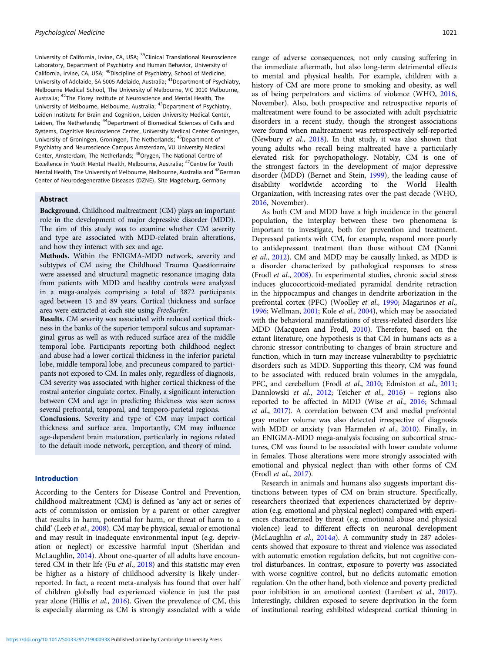University of California, Irvine, CA, USA; <sup>39</sup>Clinical Translational Neuroscience Laboratory, Department of Psychiatry and Human Behavior, University of California, Irvine, CA, USA; 40Discipline of Psychiatry, School of Medicine, University of Adelaide, SA 5005 Adelaide, Australia; 41Department of Psychiatry, Melbourne Medical School, The University of Melbourne, VIC 3010 Melbourne, Australia; 42The Florey Institute of Neuroscience and Mental Health, The University of Melbourne, Melbourne, Australia; 43Department of Psychiatry, Leiden Institute for Brain and Cognition, Leiden University Medical Center, Leiden, The Netherlands; <sup>44</sup>Department of Biomedical Sciences of Cells and Systems, Cognitive Neuroscience Center, University Medical Center Groningen, University of Groningen, Groningen, The Netherlands; 45Department of Psychiatry and Neuroscience Campus Amsterdam, VU University Medical Center, Amsterdam, The Netherlands; 46Orygen, The National Centre of Excellence in Youth Mental Health, Melbourne, Australia;  $^{47}$ Centre for Youth Mental Health, The University of Melbourne, Melbourne, Australia and <sup>48</sup>German Center of Neurodegenerative Diseases (DZNE), Site Magdeburg, Germany

## Abstract

Background. Childhood maltreatment (CM) plays an important role in the development of major depressive disorder (MDD). The aim of this study was to examine whether CM severity and type are associated with MDD-related brain alterations, and how they interact with sex and age.

Methods. Within the ENIGMA-MDD network, severity and subtypes of CM using the Childhood Trauma Questionnaire were assessed and structural magnetic resonance imaging data from patients with MDD and healthy controls were analyzed in a mega-analysis comprising a total of 3872 participants aged between 13 and 89 years. Cortical thickness and surface area were extracted at each site using FreeSurfer.

Results. CM severity was associated with reduced cortical thickness in the banks of the superior temporal sulcus and supramarginal gyrus as well as with reduced surface area of the middle temporal lobe. Participants reporting both childhood neglect and abuse had a lower cortical thickness in the inferior parietal lobe, middle temporal lobe, and precuneus compared to participants not exposed to CM. In males only, regardless of diagnosis, CM severity was associated with higher cortical thickness of the rostral anterior cingulate cortex. Finally, a significant interaction between CM and age in predicting thickness was seen across several prefrontal, temporal, and temporo-parietal regions.

Conclusions. Severity and type of CM may impact cortical thickness and surface area. Importantly, CM may influence age-dependent brain maturation, particularly in regions related to the default mode network, perception, and theory of mind.

### Introduction

According to the Centers for Disease Control and Prevention, childhood maltreatment (CM) is defined as 'any act or series of acts of commission or omission by a parent or other caregiver that results in harm, potential for harm, or threat of harm to a child' (Leeb et al., [2008](#page-10-0)). CM may be physical, sexual or emotional and may result in inadequate environmental input (e.g. deprivation or neglect) or excessive harmful input (Sheridan and McLaughlin, [2014\)](#page-11-0). About one-quarter of all adults have encoun-tered CM in their life (Fu et al., [2018](#page-10-0)) and this statistic may even be higher as a history of childhood adversity is likely underreported. In fact, a recent meta-analysis has found that over half of children globally had experienced violence in just the past year alone (Hillis et al., [2016](#page-10-0)). Given the prevalence of CM, this is especially alarming as CM is strongly associated with a wide

range of adverse consequences, not only causing suffering in the immediate aftermath, but also long-term detrimental effects to mental and physical health. For example, children with a history of CM are more prone to smoking and obesity, as well as of being perpetrators and victims of violence (WHO, [2016](#page-11-0), November). Also, both prospective and retrospective reports of maltreatment were found to be associated with adult psychiatric disorders in a recent study, though the strongest associations were found when maltreatment was retrospectively self-reported (Newbury et al., [2018](#page-11-0)). In that study, it was also shown that young adults who recall being maltreated have a particularly elevated risk for psychopathology. Notably, CM is one of the strongest factors in the development of major depressive disorder (MDD) (Bernet and Stein, [1999](#page-10-0)), the leading cause of disability worldwide according to the World Health Organization, with increasing rates over the past decade (WHO, [2016](#page-11-0), November).

As both CM and MDD have a high incidence in the general population, the interplay between these two phenomena is important to investigate, both for prevention and treatment. Depressed patients with CM, for example, respond more poorly to antidepressant treatment than those without CM (Nanni et al., [2012\)](#page-11-0). CM and MDD may be causally linked, as MDD is a disorder characterized by pathological responses to stress (Frodl et al., [2008](#page-10-0)). In experimental studies, chronic social stress induces glucocorticoid-mediated pyramidal dendrite retraction in the hippocampus and changes in dendrite arborization in the prefrontal cortex (PFC) (Woolley et al., [1990;](#page-11-0) Magarinos et al., [1996](#page-11-0); Wellman, [2001;](#page-11-0) Kole et al., [2004](#page-10-0)), which may be associated with the behavioral manifestations of stress-related disorders like MDD (Macqueen and Frodl, [2010](#page-11-0)). Therefore, based on the extant literature, one hypothesis is that CM in humans acts as a chronic stressor contributing to changes of brain structure and function, which in turn may increase vulnerability to psychiatric disorders such as MDD. Supporting this theory, CM was found to be associated with reduced brain volumes in the amygdala, PFC, and cerebellum (Frodl et al., [2010](#page-10-0); Edmiston et al., [2011](#page-10-0); Dannlowski et al., [2012;](#page-10-0) Teicher et al., [2016\)](#page-11-0) – regions also reported to be affected in MDD (Wise et al., [2016;](#page-11-0) Schmaal et al., [2017](#page-11-0)). A correlation between CM and medial prefrontal gray matter volume was also detected irrespective of diagnosis with MDD or anxiety (van Harmelen et al., [2010](#page-11-0)). Finally, in an ENIGMA-MDD mega-analysis focusing on subcortical structures, CM was found to be associated with lower caudate volume in females. Those alterations were more strongly associated with emotional and physical neglect than with other forms of CM (Frodl et al., [2017](#page-10-0)).

Research in animals and humans also suggests important distinctions between types of CM on brain structure. Specifically, researchers theorized that experiences characterized by deprivation (e.g. emotional and physical neglect) compared with experiences characterized by threat (e.g. emotional abuse and physical violence) lead to different effects on neuronal development (McLaughlin et al., [2014](#page-11-0)a). A community study in 287 adolescents showed that exposure to threat and violence was associated with automatic emotion regulation deficits, but not cognitive control disturbances. In contrast, exposure to poverty was associated with worse cognitive control, but no deficits automatic emotion regulation. On the other hand, both violence and poverty predicted poor inhibition in an emotional context (Lambert et al., [2017](#page-10-0)). Interestingly, children exposed to severe deprivation in the form of institutional rearing exhibited widespread cortical thinning in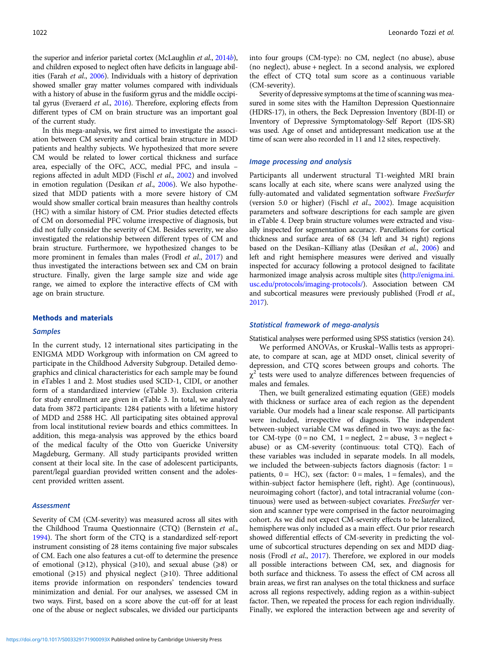the superior and inferior parietal cortex (McLaughlin *et al.*, [2014](#page-11-0)*b*), and children exposed to neglect often have deficits in language abilities (Farah et al., [2006\)](#page-10-0). Individuals with a history of deprivation showed smaller gray matter volumes compared with individuals with a history of abuse in the fusiform gyrus and the middle occipi-tal gyrus (Everaerd et al., [2016](#page-10-0)). Therefore, exploring effects from different types of CM on brain structure was an important goal of the current study.

In this mega-analysis, we first aimed to investigate the association between CM severity and cortical brain structure in MDD patients and healthy subjects. We hypothesized that more severe CM would be related to lower cortical thickness and surface area, especially of the OFC, ACC, medial PFC, and insula – regions affected in adult MDD (Fischl et al., [2002](#page-10-0)) and involved in emotion regulation (Desikan et al., [2006](#page-10-0)). We also hypothesized that MDD patients with a more severe history of CM would show smaller cortical brain measures than healthy controls (HC) with a similar history of CM. Prior studies detected effects of CM on dorsomedial PFC volume irrespective of diagnosis, but did not fully consider the severity of CM. Besides severity, we also investigated the relationship between different types of CM and brain structure. Furthermore, we hypothesized changes to be more prominent in females than males (Frodl et al., [2017\)](#page-10-0) and thus investigated the interactions between sex and CM on brain structure. Finally, given the large sample size and wide age range, we aimed to explore the interactive effects of CM with age on brain structure.

### Methods and materials

### **Samples**

In the current study, 12 international sites participating in the ENIGMA MDD Workgroup with information on CM agreed to participate in the Childhood Adversity Subgroup. Detailed demographics and clinical characteristics for each sample may be found in eTables 1 and 2. Most studies used SCID-1, CIDI, or another form of a standardized interview (eTable 3). Exclusion criteria for study enrollment are given in eTable 3. In total, we analyzed data from 3872 participants: 1284 patients with a lifetime history of MDD and 2588 HC. All participating sites obtained approval from local institutional review boards and ethics committees. In addition, this mega-analysis was approved by the ethics board of the medical faculty of the Otto von Guericke University Magdeburg, Germany. All study participants provided written consent at their local site. In the case of adolescent participants, parent/legal guardian provided written consent and the adolescent provided written assent.

### **Assessment**

Severity of CM (CM-severity) was measured across all sites with the Childhood Trauma Questionnaire (CTQ) (Bernstein et al., [1994\)](#page-10-0). The short form of the CTQ is a standardized self-report instrument consisting of 28 items containing five major subscales of CM. Each one also features a cut-off to determine the presence of emotional  $(\geq 12)$ , physical  $(\geq 10)$ , and sexual abuse  $(\geq 8)$  or emotional ( $\geq 15$ ) and physical neglect ( $\geq 10$ ). Three additional items provide information on responders' tendencies toward minimization and denial. For our analyses, we assessed CM in two ways. First, based on a score above the cut-off for at least one of the abuse or neglect subscales, we divided our participants

into four groups (CM-type): no CM, neglect (no abuse), abuse (no neglect), abuse + neglect. In a second analysis, we explored the effect of CTQ total sum score as a continuous variable (CM-severity).

Severity of depressive symptoms at the time of scanning was measured in some sites with the Hamilton Depression Questionnaire (HDRS-17), in others, the Beck Depression Inventory (BDI-II) or Inventory of Depressive Symptomatology-Self Report (IDS-SR) was used. Age of onset and antidepressant medication use at the time of scan were also recorded in 11 and 12 sites, respectively.

### Image processing and analysis

Participants all underwent structural T1-weighted MRI brain scans locally at each site, where scans were analyzed using the fully-automated and validated segmentation software FreeSurfer (version 5.0 or higher) (Fischl et al., [2002\)](#page-10-0). Image acquisition parameters and software descriptions for each sample are given in eTable 4. Deep brain structure volumes were extracted and visually inspected for segmentation accuracy. Parcellations for cortical thickness and surface area of 68 (34 left and 34 right) regions based on the Desikan–Killiany atlas (Desikan et al., [2006\)](#page-10-0) and left and right hemisphere measures were derived and visually inspected for accuracy following a protocol designed to facilitate harmonized image analysis across multiple sites ([http://enigma.ini.](http://enigma.ini.usc.edu/protocols/imaging-protocols/) [usc.edu/protocols/imaging-protocols/](http://enigma.ini.usc.edu/protocols/imaging-protocols/)). Association between CM and subcortical measures were previously published (Frodl et al., [2017](#page-10-0)).

### Statistical framework of mega-analysis

Statistical analyses were performed using SPSS statistics (version 24).

We performed ANOVAs, or Kruskal–Wallis tests as appropriate, to compare at scan, age at MDD onset, clinical severity of depression, and CTQ scores between groups and cohorts. The  $\chi^2$  tests were used to analyze differences between frequencies of males and females.

Then, we built generalized estimating equation (GEE) models with thickness or surface area of each region as the dependent variable. Our models had a linear scale response. All participants were included, irrespective of diagnosis. The independent between-subject variable CM was defined in two ways: as the factor CM-type  $(0 = no CM, 1 = neglect, 2 = abuse, 3 = neglect +$ abuse) or as CM-severity (continuous: total CTQ). Each of these variables was included in separate models. In all models, we included the between-subjects factors diagnosis (factor:  $1 =$ patients,  $0 = HC$ ), sex (factor:  $0 =$  males,  $1 =$  females), and the within-subject factor hemisphere (left, right). Age (continuous), neuroimaging cohort (factor), and total intracranial volume (continuous) were used as between-subject covariates. FreeSurfer version and scanner type were comprised in the factor neuroimaging cohort. As we did not expect CM-severity effects to be lateralized, hemisphere was only included as a main effect. Our prior research showed differential effects of CM-severity in predicting the volume of subcortical structures depending on sex and MDD diagnosis (Frodl et al., [2017](#page-10-0)). Therefore, we explored in our models all possible interactions between CM, sex, and diagnosis for both surface and thickness. To assess the effect of CM across all brain areas, we first ran analyses on the total thickness and surface across all regions respectively, adding region as a within-subject factor. Then, we repeated the process for each region individually. Finally, we explored the interaction between age and severity of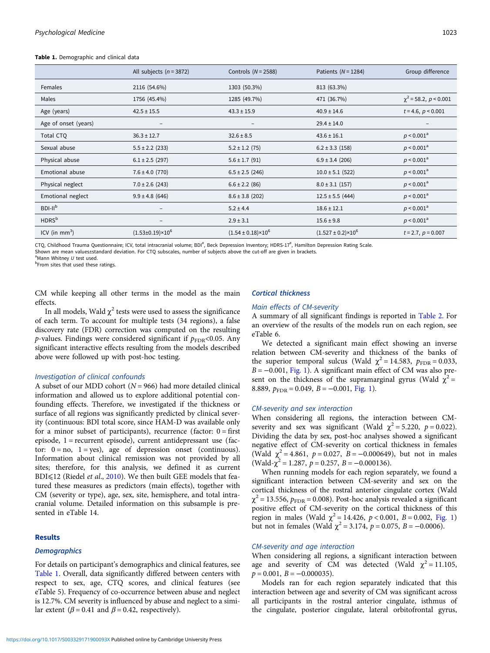#### Table 1. Demographic and clinical data

|                      | All subjects $(n = 3872)$ | Controls $(N = 2588)$         | Patients $(N = 1284)$         | Group difference           |
|----------------------|---------------------------|-------------------------------|-------------------------------|----------------------------|
| Females              | 2116 (54.6%)              | 1303 (50.3%)                  | 813 (63.3%)                   |                            |
| Males                | 1756 (45.4%)              | 1285 (49.7%)                  | 471 (36.7%)                   | $\chi^2$ = 58.2, p < 0.001 |
| Age (years)          | $42.5 \pm 15.5$           | $43.3 \pm 15.9$               | $40.9 \pm 14.6$               | $t = 4.6, p < 0.001$       |
| Age of onset (years) | -                         | $\qquad \qquad -$             | $29.4 \pm 14.0$               | -                          |
| Total CTQ            | $36.3 \pm 12.7$           | $32.6 \pm 8.5$                | $43.6 \pm 16.1$               | $p < 0.001^a$              |
| Sexual abuse         | $5.5 \pm 2.2$ (233)       | $5.2 \pm 1.2$ (75)            | $6.2 \pm 3.3$ (158)           | $p < 0.001^a$              |
| Physical abuse       | $6.1 \pm 2.5$ (297)       | $5.6 \pm 1.7$ (91)            | $6.9 \pm 3.4$ (206)           | $p < 0.001^a$              |
| Emotional abuse      | $7.6 \pm 4.0$ (770)       | $6.5 \pm 2.5$ (246)           | $10.0 \pm 5.1$ (522)          | $p < 0.001^a$              |
| Physical neglect     | $7.0 \pm 2.6$ (243)       | $6.6 \pm 2.2$ (86)            | $8.0 \pm 3.1$ (157)           | $p < 0.001^a$              |
| Emotional neglect    | $9.9 \pm 4.8$ (646)       | $8.6 \pm 3.8$ (202)           | $12.5 \pm 5.5$ (444)          | $p < 0.001^a$              |
| $BDI-IIb$            | -                         | $5.2 \pm 4.4$                 | $18.6 \pm 12.1$               | $p < 0.001^a$              |
| HDRS <sup>b</sup>    | $\qquad \qquad -$         | $2.9 \pm 3.1$                 | $15.6 \pm 9.8$                | $p < 0.001^a$              |
| ICV (in $mm3$ )      | $(1.53\pm0.19)\times10^6$ | $(1.54 \pm 0.18) \times 10^6$ | $(1.527 \pm 0.2) \times 10^6$ | $t = 2.7, p = 0.007$       |

CTQ, Childhood Trauma Questionnaire; ICV, total intracranial volume; BDI<sup>#</sup>, Beck Depression Inventory; HDRS-17<sup>#</sup>, Hamilton Depression Rating Scale.

Shown are mean values±standard deviation. For CTQ subscales, number of subjects above the cut-off are given in brackets.

<sup>a</sup> Mann Whitney U test used.<br><sup>b</sup> From sites that used these

<sup>b</sup>From sites that used these ratings

CM while keeping all other terms in the model as the main effects.

### Cortical thickness

### Main effects of CM-severity

In all models, Wald  $\gamma^2$  tests were used to assess the significance of each term. To account for multiple tests (34 regions), a false discovery rate (FDR) correction was computed on the resulting *p*-values. Findings were considered significant if  $p_{\text{FDR}}$ <0.05. Any significant interactive effects resulting from the models described above were followed up with post-hoc testing.

### Investigation of clinical confounds

A subset of our MDD cohort ( $N = 966$ ) had more detailed clinical information and allowed us to explore additional potential confounding effects. Therefore, we investigated if the thickness or surface of all regions was significantly predicted by clinical severity (continuous: BDI total score, since HAM-D was available only for a minor subset of participants), recurrence (factor:  $0 =$  first episode, 1 = recurrent episode), current antidepressant use (factor:  $0 = no$ ,  $1 = yes$ ), age of depression onset (continuous). Information about clinical remission was not provided by all sites; therefore, for this analysis, we defined it as current BDI $\leq$ 12 (Riedel *et al.*, [2010](#page-11-0)). We then built GEE models that featured these measures as predictors (main effects), together with CM (severity or type), age, sex, site, hemisphere, and total intracranial volume. Detailed information on this subsample is presented in eTable 14.

### Results

### **Demographics**

For details on participant's demographics and clinical features, see Table 1. Overall, data significantly differed between centers with respect to sex, age, CTQ scores, and clinical features (see eTable 5). Frequency of co-occurrence between abuse and neglect is 12.7%. CM severity is influenced by abuse and neglect to a similar extent ( $\beta$  = 0.41 and  $\beta$  = 0.42, respectively).

A summary of all significant findings is reported in [Table 2](#page-4-0). For an overview of the results of the models run on each region, see eTable 6.

We detected a significant main effect showing an inverse relation between CM-severity and thickness of the banks of the superior temporal sulcus (Wald  $\chi^2 = 14.583$ ,  $p_{\text{FDR}} = 0.033$ , B = −0.001, [Fig. 1\)](#page-5-0). A significant main effect of CM was also present on the thickness of the supramarginal gyrus (Wald  $\chi^2$  = 8.889,  $p_{\text{FDR}} = 0.049$ ,  $B = -0.001$ , [Fig. 1\)](#page-5-0).

### CM-severity and sex interaction

When considering all regions, the interaction between CMseverity and sex was significant (Wald  $\chi^2 = 5.220$ ,  $p = 0.022$ ). Dividing the data by sex, post-hoc analyses showed a significant negative effect of CM-severity on cortical thickness in females (Wald  $\chi^2 = 4.861$ ,  $p = 0.027$ ,  $B = -0.000649$ ), but not in males (Wald- $\chi^2$  = 1.287,  $p$  = 0.257,  $B$  = -0.000136).

When running models for each region separately, we found a significant interaction between CM-severity and sex on the cortical thickness of the rostral anterior cingulate cortex (Wald  $\chi^2$  = 13.556,  $p_{\text{FDR}}$  = 0.008). Post-hoc analysis revealed a significant positive effect of CM-severity on the cortical thickness of this region in males (Wald  $\chi^2 = 14.426$ ,  $p < 0.001$ ,  $B = 0.002$ , [Fig. 1](#page-5-0)) but not in females (Wald  $\chi^2 = 3.174$ ,  $p = 0.075$ ,  $B = -0.0006$ ).

### CM-severity and age interaction

When considering all regions, a significant interaction between age and severity of CM was detected (Wald  $\chi^2 = 11.105$ ,  $p = 0.001$ ,  $B = -0.000035$ ).

Models ran for each region separately indicated that this interaction between age and severity of CM was significant across all participants in the rostral anterior cingulate, isthmus of the cingulate, posterior cingulate, lateral orbitofrontal gyrus,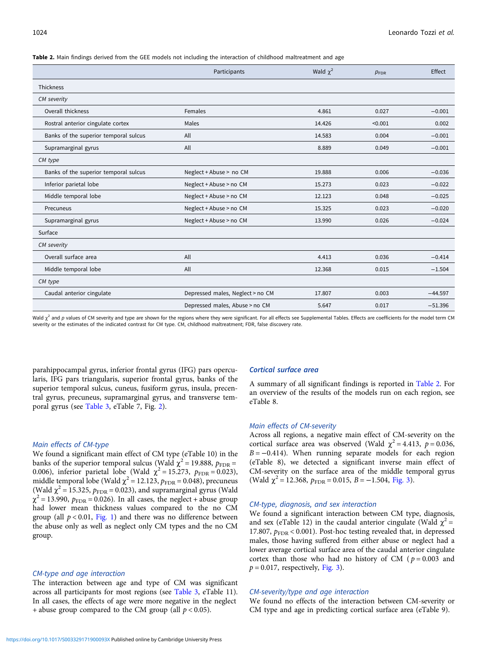<span id="page-4-0"></span>Table 2. Main findings derived from the GEE models not including the interaction of childhood maltreatment and age

|                                       | Participants                     | Wald $\chi^2$ | $p_{\text{FDR}}$ | Effect    |
|---------------------------------------|----------------------------------|---------------|------------------|-----------|
| <b>Thickness</b>                      |                                  |               |                  |           |
| CM severity                           |                                  |               |                  |           |
| Overall thickness                     | Females                          | 4.861         | 0.027            | $-0.001$  |
| Rostral anterior cingulate cortex     | Males                            | 14.426        | < 0.001          | 0.002     |
| Banks of the superior temporal sulcus | All                              | 14.583        | 0.004            | $-0.001$  |
| Supramarginal gyrus                   | All                              | 8.889         | 0.049            | $-0.001$  |
| CM type                               |                                  |               |                  |           |
| Banks of the superior temporal sulcus | Neglect + Abuse > no CM          | 19.888        | 0.006            | $-0.036$  |
| Inferior parietal lobe                | Neglect + Abuse > no CM          | 15.273        | 0.023            | $-0.022$  |
| Middle temporal lobe                  | Neglect + Abuse > no CM          | 12.123        | 0.048            | $-0.025$  |
| Precuneus                             | Neglect + Abuse > no CM          | 15.325        | 0.023            | $-0.020$  |
| Supramarginal gyrus                   | Neglect + Abuse > no CM          | 13.990        | 0.026            | $-0.024$  |
| Surface                               |                                  |               |                  |           |
| CM severity                           |                                  |               |                  |           |
| Overall surface area                  | All                              | 4.413         | 0.036            | $-0.414$  |
| Middle temporal lobe                  | All                              | 12.368        | 0.015            | $-1.504$  |
| CM type                               |                                  |               |                  |           |
| Caudal anterior cingulate             | Depressed males, Neglect > no CM | 17.807        | 0.003            | $-44.597$ |
|                                       | Depressed males, Abuse > no CM   | 5.647         | 0.017            | $-51.396$ |

Wald  $\chi^2$  and p values of CM severity and type are shown for the regions where they were significant. For all effects see Supplemental Tables. Effects are coefficients for the model term CM severity or the estimates of the indicated contrast for CM type. CM, childhood maltreatment; FDR, false discovery rate.

parahippocampal gyrus, inferior frontal gyrus (IFG) pars opercularis, IFG pars triangularis, superior frontal gyrus, banks of the superior temporal sulcus, cuneus, fusiform gyrus, insula, precentral gyrus, precuneus, supramarginal gyrus, and transverse temporal gyrus (see [Table 3,](#page-6-0) eTable 7, Fig. [2](#page-7-0)).

### Main effects of CM-type

We found a significant main effect of CM type (eTable 10) in the banks of the superior temporal sulcus (Wald  $\chi^2$  = 19.888,  $p_{\text{FDR}}$  = 0.006), inferior parietal lobe (Wald  $\chi^2 = 15.273$ ,  $p_{\text{FDR}} = 0.023$ ), middle temporal lobe (Wald  $\chi^2$  = 12.123,  $p_{\text{FDR}}$  = 0.048), precuneus (Wald  $\chi^2$  = 15.325,  $p_{\text{FDR}}$  = 0.023), and supramarginal gyrus (Wald  $\chi^2$  = 13.990,  $p_{\text{FDR}}$  = 0.026). In all cases, the neglect + abuse group had lower mean thickness values compared to the no CM group (all  $p < 0.01$ , [Fig. 1\)](#page-5-0) and there was no difference between the abuse only as well as neglect only CM types and the no CM group.

#### CM-type and age interaction

The interaction between age and type of CM was significant across all participants for most regions (see [Table 3,](#page-6-0) eTable 11). In all cases, the effects of age were more negative in the neglect + abuse group compared to the CM group (all  $p < 0.05$ ).

### Cortical surface area

A summary of all significant findings is reported in Table 2. For an overview of the results of the models run on each region, see eTable 8.

#### Main effects of CM-severity

Across all regions, a negative main effect of CM-severity on the cortical surface area was observed (Wald  $\chi^2$  = 4.413, p = 0.036,  $B = -0.414$ ). When running separate models for each region (eTable 8), we detected a significant inverse main effect of CM-severity on the surface area of the middle temporal gyrus (Wald  $\chi^2$  = 12.368,  $p_{\text{FDR}}$  = 0.015, B = -1.504, [Fig. 3\)](#page-8-0).

### CM-type, diagnosis, and sex interaction

We found a significant interaction between CM type, diagnosis, and sex (eTable 12) in the caudal anterior cingulate (Wald  $\chi^2$  = 17.807,  $p_{\text{FDR}}$  < 0.001). Post-hoc testing revealed that, in depressed males, those having suffered from either abuse or neglect had a lower average cortical surface area of the caudal anterior cingulate cortex than those who had no history of CM ( $p = 0.003$  and  $p = 0.017$ , respectively, [Fig. 3](#page-8-0)).

### CM-severity/type and age interaction

We found no effects of the interaction between CM-severity or CM type and age in predicting cortical surface area (eTable 9).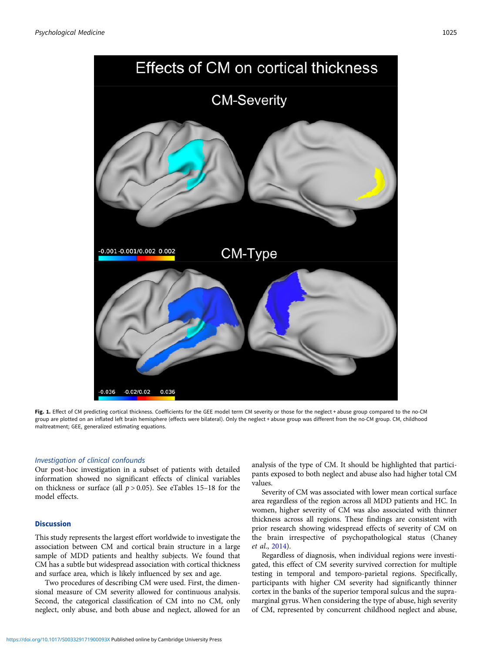<span id="page-5-0"></span>

Fig. 1. Effect of CM predicting cortical thickness. Coefficients for the GEE model term CM severity or those for the neglect + abuse group compared to the no-CM group are plotted on an inflated left brain hemisphere (effects were bilateral). Only the neglect + abuse group was different from the no-CM group. CM, childhood maltreatment; GEE, generalized estimating equations.

### Investigation of clinical confounds

Our post-hoc investigation in a subset of patients with detailed information showed no significant effects of clinical variables on thickness or surface (all  $p > 0.05$ ). See eTables 15–18 for the model effects.

### **Discussion**

This study represents the largest effort worldwide to investigate the association between CM and cortical brain structure in a large sample of MDD patients and healthy subjects. We found that CM has a subtle but widespread association with cortical thickness and surface area, which is likely influenced by sex and age.

Two procedures of describing CM were used. First, the dimensional measure of CM severity allowed for continuous analysis. Second, the categorical classification of CM into no CM, only neglect, only abuse, and both abuse and neglect, allowed for an analysis of the type of CM. It should be highlighted that participants exposed to both neglect and abuse also had higher total CM values.

Severity of CM was associated with lower mean cortical surface area regardless of the region across all MDD patients and HC. In women, higher severity of CM was also associated with thinner thickness across all regions. These findings are consistent with prior research showing widespread effects of severity of CM on the brain irrespective of psychopathological status (Chaney et al., [2014](#page-10-0)).

Regardless of diagnosis, when individual regions were investigated, this effect of CM severity survived correction for multiple testing in temporal and temporo-parietal regions. Specifically, participants with higher CM severity had significantly thinner cortex in the banks of the superior temporal sulcus and the supramarginal gyrus. When considering the type of abuse, high severity of CM, represented by concurrent childhood neglect and abuse,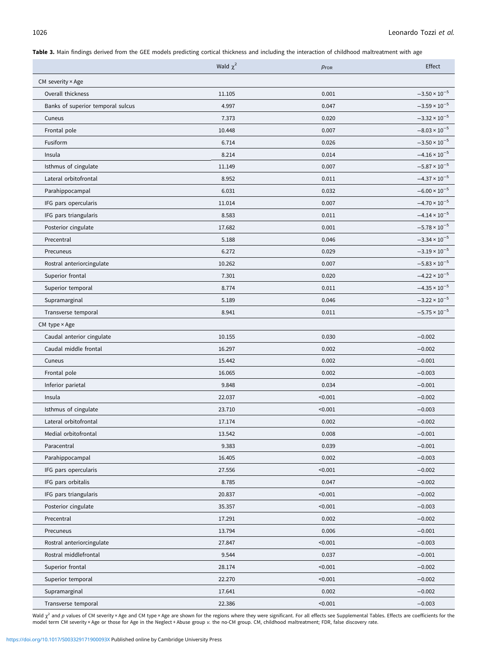<span id="page-6-0"></span>Table 3. Main findings derived from the GEE models predicting cortical thickness and including the interaction of childhood maltreatment with age

|                                   | Wald $\chi^2$ | $p_{\text{FDR}}$ | Effect                 |
|-----------------------------------|---------------|------------------|------------------------|
| CM severity $\times$ Age          |               |                  |                        |
| Overall thickness                 | 11.105        | 0.001            | $-3.50 \times 10^{-5}$ |
| Banks of superior temporal sulcus | 4.997         | 0.047            | $-3.59 \times 10^{-5}$ |
| Cuneus                            | 7.373         | 0.020            | $-3.32 \times 10^{-5}$ |
| Frontal pole                      | 10.448        | 0.007            | $-8.03 \times 10^{-5}$ |
| Fusiform                          | 6.714         | 0.026            | $-3.50 \times 10^{-5}$ |
| Insula                            | 8.214         | 0.014            | $-4.16 \times 10^{-5}$ |
| Isthmus of cingulate              | 11.149        | 0.007            | $-5.87 \times 10^{-5}$ |
| Lateral orbitofrontal             | 8.952         | 0.011            | $-4.37 \times 10^{-5}$ |
| Parahippocampal                   | 6.031         | 0.032            | $-6.00 \times 10^{-5}$ |
| IFG pars opercularis              | 11.014        | 0.007            | $-4.70 \times 10^{-5}$ |
| IFG pars triangularis             | 8.583         | 0.011            | $-4.14 \times 10^{-5}$ |
| Posterior cingulate               | 17.682        | 0.001            | $-5.78 \times 10^{-5}$ |
| Precentral                        | 5.188         | 0.046            | $-3.34 \times 10^{-5}$ |
| Precuneus                         | 6.272         | 0.029            | $-3.19 \times 10^{-5}$ |
| Rostral anteriorcingulate         | 10.262        | 0.007            | $-5.83 \times 10^{-5}$ |
| Superior frontal                  | 7.301         | 0.020            | $-4.22 \times 10^{-5}$ |
| Superior temporal                 | 8.774         | 0.011            | $-4.35 \times 10^{-5}$ |
| Supramarginal                     | 5.189         | 0.046            | $-3.22 \times 10^{-5}$ |
| Transverse temporal               | 8.941         | 0.011            | $-5.75 \times 10^{-5}$ |
| CM type × Age                     |               |                  |                        |
| Caudal anterior cingulate         | 10.155        | 0.030            | $-0.002$               |
| Caudal middle frontal             | 16.297        | 0.002            | $-0.002$               |
| Cuneus                            | 15.442        | 0.002            | $-0.001$               |
| Frontal pole                      | 16.065        | 0.002            | $-0.003$               |
| Inferior parietal                 | 9.848         | 0.034            | $-0.001$               |
| Insula                            | 22.037        | < 0.001          | $-0.002$               |
| Isthmus of cingulate              | 23.710        | < 0.001          | $-0.003$               |
| Lateral orbitofrontal             | 17.174        | 0.002            | $-0.002$               |
| Medial orbitofrontal              | 13.542        | 0.008            | $-0.001$               |
| Paracentral                       | 9.383         | 0.039            | $-0.001$               |
| Parahippocampal                   | 16.405        | 0.002            | $-0.003$               |
| IFG pars opercularis              | 27.556        | < 0.001          | $-0.002$               |
| IFG pars orbitalis                | 8.785         | 0.047            | $-0.002$               |
| IFG pars triangularis             | 20.837        | < 0.001          | $-0.002$               |
| Posterior cingulate               | 35.357        | < 0.001          | $-0.003$               |
| Precentral                        | 17.291        | 0.002            | $-0.002$               |
| Precuneus                         | 13.794        | 0.006            | $-0.001$               |
| Rostral anteriorcingulate         | 27.847        | < 0.001          | $-0.003$               |
| Rostral middlefrontal             | 9.544         | 0.037            | $-0.001$               |
| Superior frontal                  | 28.174        | < 0.001          | $-0.002$               |
| Superior temporal                 | 22.270        | < 0.001          | $-0.002$               |
| Supramarginal                     | 17.641        | 0.002            | $-0.002$               |
| Transverse temporal               | 22.386        | < 0.001          | $-0.003$               |

Wald x<sup>2</sup> and p values of CM severity × Age and CM type × Age are shown for the regions where they were significant. For all effects see Supplemental Tables. Effects are coefficients for the<br>model term CM severity × Age or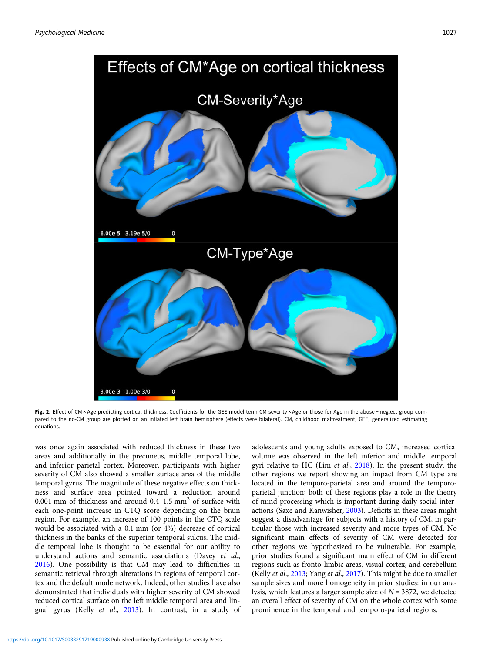<span id="page-7-0"></span>

Fig. 2. Effect of CM × Age predicting cortical thickness. Coefficients for the GEE model term CM severity × Age or those for Age in the abuse + neglect group compared to the no-CM group are plotted on an inflated left brain hemisphere (effects were bilateral). CM, childhood maltreatment, GEE, generalized estimating equations.

was once again associated with reduced thickness in these two areas and additionally in the precuneus, middle temporal lobe, and inferior parietal cortex. Moreover, participants with higher severity of CM also showed a smaller surface area of the middle temporal gyrus. The magnitude of these negative effects on thickness and surface area pointed toward a reduction around 0.001 mm of thickness and around  $0.4-1.5$  mm<sup>2</sup> of surface with each one-point increase in CTQ score depending on the brain region. For example, an increase of 100 points in the CTQ scale would be associated with a 0.1 mm (or 4%) decrease of cortical thickness in the banks of the superior temporal sulcus. The middle temporal lobe is thought to be essential for our ability to understand actions and semantic associations (Davey et al., [2016\)](#page-10-0). One possibility is that CM may lead to difficulties in semantic retrieval through alterations in regions of temporal cortex and the default mode network. Indeed, other studies have also demonstrated that individuals with higher severity of CM showed reduced cortical surface on the left middle temporal area and lingual gyrus (Kelly et al., [2013\)](#page-10-0). In contrast, in a study of adolescents and young adults exposed to CM, increased cortical volume was observed in the left inferior and middle temporal gyri relative to HC (Lim et al., [2018\)](#page-11-0). In the present study, the other regions we report showing an impact from CM type are located in the temporo-parietal area and around the temporoparietal junction; both of these regions play a role in the theory of mind processing which is important during daily social interactions (Saxe and Kanwisher, [2003](#page-11-0)). Deficits in these areas might suggest a disadvantage for subjects with a history of CM, in particular those with increased severity and more types of CM. No significant main effects of severity of CM were detected for other regions we hypothesized to be vulnerable. For example, prior studies found a significant main effect of CM in different regions such as fronto-limbic areas, visual cortex, and cerebellum (Kelly et al., [2013;](#page-10-0) Yang et al., [2017\)](#page-11-0). This might be due to smaller sample sizes and more homogeneity in prior studies: in our analysis, which features a larger sample size of  $N = 3872$ , we detected an overall effect of severity of CM on the whole cortex with some prominence in the temporal and temporo-parietal regions.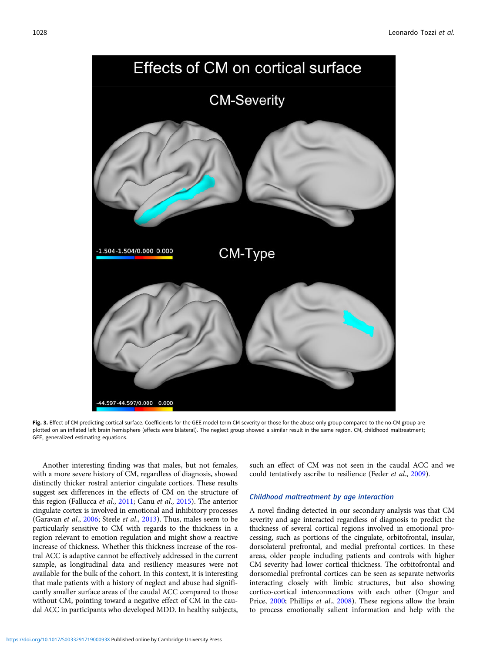<span id="page-8-0"></span>

Effects of CM on cortical surface

Childhood maltreatment by age interaction

A novel finding detected in our secondary analysis was that CM severity and age interacted regardless of diagnosis to predict the thickness of several cortical regions involved in emotional processing, such as portions of the cingulate, orbitofrontal, insular, dorsolateral prefrontal, and medial prefrontal cortices. In these areas, older people including patients and controls with higher CM severity had lower cortical thickness. The orbitofrontal and dorsomedial prefrontal cortices can be seen as separate networks interacting closely with limbic structures, but also showing cortico-cortical interconnections with each other (Ongur and Price, [2000;](#page-11-0) Phillips et al., [2008\)](#page-11-0). These regions allow the brain to process emotionally salient information and help with the

Another interesting finding was that males, but not females, with a more severe history of CM, regardless of diagnosis, showed could tentatively ascribe to resilience (Feder et al., [2009\)](#page-10-0). GEE, generalized estimating equations.

suggest sex differences in the effects of CM on the structure of this region (Fallucca et al., [2011](#page-10-0); Canu et al., [2015\)](#page-10-0). The anterior cingulate cortex is involved in emotional and inhibitory processes (Garavan et al., [2006](#page-10-0); Steele et al., [2013\)](#page-11-0). Thus, males seem to be particularly sensitive to CM with regards to the thickness in a region relevant to emotion regulation and might show a reactive increase of thickness. Whether this thickness increase of the rostral ACC is adaptive cannot be effectively addressed in the current sample, as longitudinal data and resiliency measures were not available for the bulk of the cohort. In this context, it is interesting that male patients with a history of neglect and abuse had significantly smaller surface areas of the caudal ACC compared to those without CM, pointing toward a negative effect of CM in the caudal ACC in participants who developed MDD. In healthy subjects,

distinctly thicker rostral anterior cingulate cortices. These results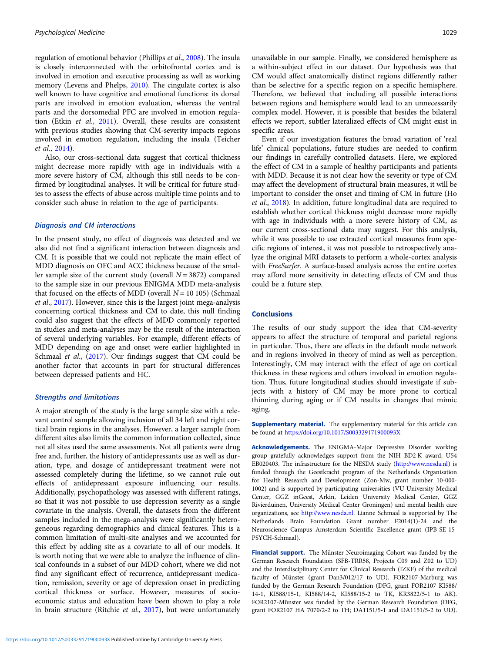regulation of emotional behavior (Phillips et al., [2008](#page-11-0)). The insula is closely interconnected with the orbitofrontal cortex and is involved in emotion and executive processing as well as working memory (Levens and Phelps, [2010\)](#page-10-0). The cingulate cortex is also well known to have cognitive and emotional functions: its dorsal parts are involved in emotion evaluation, whereas the ventral parts and the dorsomedial PFC are involved in emotion regulation (Etkin et al., [2011](#page-10-0)). Overall, these results are consistent with previous studies showing that CM-severity impacts regions involved in emotion regulation, including the insula (Teicher et al., [2014\)](#page-11-0).

Also, our cross-sectional data suggest that cortical thickness might decrease more rapidly with age in individuals with a more severe history of CM, although this still needs to be confirmed by longitudinal analyses. It will be critical for future studies to assess the effects of abuse across multiple time points and to consider such abuse in relation to the age of participants.

### Diagnosis and CM interactions

In the present study, no effect of diagnosis was detected and we also did not find a significant interaction between diagnosis and CM. It is possible that we could not replicate the main effect of MDD diagnosis on OFC and ACC thickness because of the smaller sample size of the current study (overall  $N = 3872$ ) compared to the sample size in our previous ENIGMA MDD meta-analysis that focused on the effects of MDD (overall  $N = 10 105$ ) (Schmaal et al., [2017\)](#page-11-0). However, since this is the largest joint mega-analysis concerning cortical thickness and CM to date, this null finding could also suggest that the effects of MDD commonly reported in studies and meta-analyses may be the result of the interaction of several underlying variables. For example, different effects of MDD depending on age and onset were earlier highlighted in Schmaal et al., [\(2017\)](#page-11-0). Our findings suggest that CM could be another factor that accounts in part for structural differences between depressed patients and HC.

### Strengths and limitations

A major strength of the study is the large sample size with a relevant control sample allowing inclusion of all 34 left and right cortical brain regions in the analyses. However, a larger sample from different sites also limits the common information collected, since not all sites used the same assessments. Not all patients were drug free and, further, the history of antidepressants use as well as duration, type, and dosage of antidepressant treatment were not assessed completely during the lifetime, so we cannot rule out effects of antidepressant exposure influencing our results. Additionally, psychopathology was assessed with different ratings, so that it was not possible to use depression severity as a single covariate in the analysis. Overall, the datasets from the different samples included in the mega-analysis were significantly heterogeneous regarding demographics and clinical features. This is a common limitation of multi-site analyses and we accounted for this effect by adding site as a covariate to all of our models. It is worth noting that we were able to analyze the influence of clinical confounds in a subset of our MDD cohort, where we did not find any significant effect of recurrence, antidepressant medication, remission, severity or age of depression onset in predicting cortical thickness or surface. However, measures of socioeconomic status and education have been shown to play a role in brain structure (Ritchie et al., [2017](#page-11-0)), but were unfortunately

unavailable in our sample. Finally, we considered hemisphere as a within-subject effect in our dataset. Our hypothesis was that CM would affect anatomically distinct regions differently rather than be selective for a specific region on a specific hemisphere. Therefore, we believed that including all possible interactions between regions and hemisphere would lead to an unnecessarily complex model. However, it is possible that besides the bilateral effects we report, subtler lateralized effects of CM might exist in specific areas.

Even if our investigation features the broad variation of 'real life' clinical populations, future studies are needed to confirm our findings in carefully controlled datasets. Here, we explored the effect of CM in a sample of healthy participants and patients with MDD. Because it is not clear how the severity or type of CM may affect the development of structural brain measures, it will be important to consider the onset and timing of CM in future (Ho et al., [2018](#page-10-0)). In addition, future longitudinal data are required to establish whether cortical thickness might decrease more rapidly with age in individuals with a more severe history of CM, as our current cross-sectional data may suggest. For this analysis, while it was possible to use extracted cortical measures from specific regions of interest, it was not possible to retrospectively analyze the original MRI datasets to perform a whole-cortex analysis with FreeSurfer. A surface-based analysis across the entire cortex may afford more sensitivity in detecting effects of CM and thus could be a future step.

### **Conclusions**

The results of our study support the idea that CM-severity appears to affect the structure of temporal and parietal regions in particular. Thus, there are effects in the default mode network and in regions involved in theory of mind as well as perception. Interestingly, CM may interact with the effect of age on cortical thickness in these regions and others involved in emotion regulation. Thus, future longitudinal studies should investigate if subjects with a history of CM may be more prone to cortical thinning during aging or if CM results in changes that mimic aging.

Supplementary material. The supplementary material for this article can be found at <https://doi.org/10.1017/S003329171900093X>

Acknowledgements. The ENIGMA-Major Depressive Disorder working group gratefully acknowledges support from the NIH BD2 K award, U54 EB020403. The infrastructure for the NESDA study [\(http://www.nesda.nl](http://www.nesda.nl)) is funded through the Geestkracht program of the Netherlands Organisation for Health Research and Development (Zon-Mw, grant number 10-000- 1002) and is supported by participating universities (VU University Medical Center, GGZ inGeest, Arkin, Leiden University Medical Center, GGZ Rivierduinen, University Medical Center Groningen) and mental health care organizations, see [http://www.nesda.nl.](http://www.nesda.nl) Lianne Schmaal is supported by The Netherlands Brain Foundation Grant number F2014(1)-24 and the Neuroscience Campus Amsterdam Scientific Excellence grant (IPB-SE-15- PSYCH-Schmaal).

Financial support. The Münster Neuroimaging Cohort was funded by the German Research Foundation (SFB-TRR58, Projects C09 and Z02 to UD) and the Interdisciplinary Center for Clinical Research (IZKF) of the medical faculty of Münster (grant Dan3/012/17 to UD). FOR2107-Marburg was funded by the German Research Foundation (DFG, grant FOR2107 KI588/ 14-1, KI588/15-1, KI588/14-2, KI588/15-2 to TK, KR3822/5-1 to AK). FOR2107-Münster was funded by the German Research Foundation (DFG, grant FOR2107 HA 7070/2-2 to TH; DA1151/5-1 and DA1151/5-2 to UD).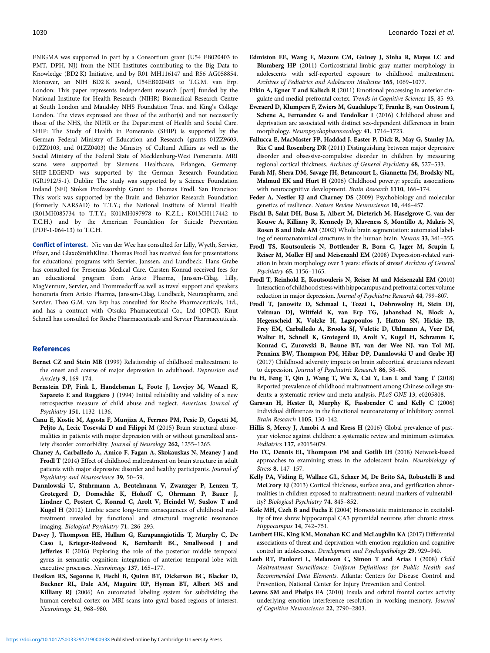<span id="page-10-0"></span>ENIGMA was supported in part by a Consortium grant (U54 EB020403 to PMT, DPH, NJ) from the NIH Institutes contributing to the Big Data to Knowledge (BD2 K) Initiative, and by R01 MH116147 and R56 AG058854. Moreover, an NIH BD2 K award, U54EB020403 to T.G.M. van Erp. London: This paper represents independent research [part] funded by the National Institute for Health Research (NIHR) Biomedical Research Centre at South London and Maudsley NHS Foundation Trust and King's College London. The views expressed are those of the author(s) and not necessarily those of the NHS, the NIHR or the Department of Health and Social Care. SHIP: The Study of Health in Pomerania (SHIP) is supported by the German Federal Ministry of Education and Research (grants 01ZZ9603, 01ZZ0103, and 01ZZ0403) the Ministry of Cultural Affairs as well as the Social Ministry of the Federal State of Mecklenburg-West Pomerania. MRI scans were supported by Siemens Healthcare, Erlangen, Germany. SHIP-LEGEND was supported by the German Research Foundation (GR1912/5-1). Dublin: The study was supported by a Science Foundation Ireland (SFI) Stokes Professorship Grant to Thomas Frodl. San Francisco: This work was supported by the Brain and Behavior Research Foundation (formerly NARSAD) to T.T.Y.; the National Institute of Mental Health (R01MH085734 to T.T.Y.; K01MH097978 to K.Z.L.; K01MH117442 to T.C.H.) and by the American Foundation for Suicide Prevention (PDF-1-064-13) to T.C.H.

Conflict of interest. Nic van der Wee has consulted for Lilly, Wyeth, Servier, Pfizer, and GlaxoSmithKline. Thomas Frodl has received fees for presentations for educational programs with Servier, Janssen, and Lundbeck. Hans Grabe has consulted for Fresenius Medical Care. Carsten Konrad received fees for an educational program from Aristo Pharma, Janssen-Cilag, Lilly, MagVenture, Servier, and Trommsdorff as well as travel support and speakers honoraria from Aristo Pharma, Janssen-Cilag, Lundbeck, Neuraxpharm, and Servier. Theo G.M. van Erp has consulted for Roche Pharmaceuticals, Ltd., and has a contract with Otsuka Phamaceutical Co., Ltd (OPCJ). Knut Schnell has consulted for Roche Pharmaceuticals and Servier Pharmaceuticals.

### References

- Bernet CZ and Stein MB (1999) Relationship of childhood maltreatment to the onset and course of major depression in adulthood. Depression and Anxiety 9, 169–174.
- Bernstein DP, Fink L, Handelsman L, Foote J, Lovejoy M, Wenzel K, Sapareto E and Ruggiero J (1994) Initial reliability and validity of a new retrospective measure of child abuse and neglect. American Journal of Psychiatry 151, 1132–1136.
- Canu E, Kostic M, Agosta F, Munjiza A, Ferraro PM, Pesic D, Copetti M, Peljto A, Lecic Tosevski D and Filippi M (2015) Brain structural abnormalities in patients with major depression with or without generalized anxiety disorder comorbidity. Journal of Neurology 262, 1255–1265.
- Chaney A, Carballedo A, Amico F, Fagan A, Skokauskas N, Meaney J and Frodl T (2014) Effect of childhood maltreatment on brain structure in adult patients with major depressive disorder and healthy participants. Journal of Psychiatry and Neuroscience 39, 50–59.
- Dannlowski U, Stuhrmann A, Beutelmann V, Zwanzger P, Lenzen T, Grotegerd D, Domschke K, Hohoff C, Ohrmann P, Bauer J, Lindner C, Postert C, Konrad C, Arolt V, Heindel W, Suslow T and Kugel H (2012) Limbic scars: long-term consequences of childhood maltreatment revealed by functional and structural magnetic resonance imaging. Biological Psychiatry 71, 286–293.
- Davey J, Thompson HE, Hallam G, Karapanagiotidis T, Murphy C, De Caso I, Krieger-Redwood K, Bernhardt BC, Smallwood J and Jefferies E (2016) Exploring the role of the posterior middle temporal gyrus in semantic cognition: integration of anterior temporal lobe with executive processes. Neuroimage 137, 165–177.
- Desikan RS, Segonne F, Fischl B, Quinn BT, Dickerson BC, Blacker D, Buckner RL, Dale AM, Maguire RP, Hyman BT, Albert MS and Killiany RJ (2006) An automated labeling system for subdividing the human cerebral cortex on MRI scans into gyral based regions of interest. Neuroimage 31, 968–980.
- Edmiston EE, Wang F, Mazure CM, Guiney J, Sinha R, Mayes LC and Blumberg HP (2011) Corticostriatal-limbic gray matter morphology in adolescents with self-reported exposure to childhood maltreatment. Archives of Pediatrics and Adolescent Medicine 165, 1069–1077.
- Etkin A, Egner T and Kalisch R (2011) Emotional processing in anterior cingulate and medial prefrontal cortex. Trends in Cognitive Sciences 15, 85–93.
- Everaerd D, Klumpers F, Zwiers M, Guadalupe T, Franke B, van Oostrom I, Schene A, Fernandez G and Tendolkar I (2016) Childhood abuse and deprivation are associated with distinct sex-dependent differences in brain morphology. Neuropsychopharmacology 41, 1716–1723.
- Fallucca E, MacMaster FP, Haddad J, Easter P, Dick R, May G, Stanley JA, Rix C and Rosenberg DR (2011) Distinguishing between major depressive disorder and obsessive-compulsive disorder in children by measuring regional cortical thickness. Archives of General Psychiatry 68, 527–533.
- Farah MJ, Shera DM, Savage JH, Betancourt L, Giannetta JM, Brodsky NL, Malmud EK and Hurt H (2006) Childhood poverty: specific associations with neurocognitive development. Brain Research 1110, 166–174.
- Feder A, Nestler EJ and Charney DS (2009) Psychobiology and molecular genetics of resilience. Nature Review Neuroscience 10, 446–457.
- Fischl B, Salat DH, Busa E, Albert M, Dieterich M, Haselgrove C, van der Kouwe A, Killiany R, Kennedy D, Klaveness S, Montillo A, Makris N, Rosen B and Dale AM (2002) Whole brain segmentation: automated labeling of neuroanatomical structures in the human brain. Neuron 33, 341–355.
- Frodl TS, Koutsouleris N, Bottlender R, Born C, Jager M, Scupin I, Reiser M, Moller HJ and Meisenzahl EM (2008) Depression-related variation in brain morphology over 3 years: effects of stress? Archives of General Psychiatry 65, 1156–1165.
- Frodl T, Reinhold E, Koutsouleris N, Reiser M and Meisenzahl EM (2010) Interaction of childhood stress with hippocampus and prefrontal cortex volume reduction in major depression. Journal of Psychiatric Research 44, 799–807.
- Frodl T, Janowitz D, Schmaal L, Tozzi L, Dobrowolny H, Stein DJ, Veltman DJ, Wittfeld K, van Erp TG, Jahanshad N, Block A, Hegenscheid K, Volzke H, Lagopoulos J, Hatton SN, Hickie IB, Frey EM, Carballedo A, Brooks SJ, Vuletic D, Uhlmann A, Veer IM, Walter H, Schnell K, Grotegerd D, Arolt V, Kugel H, Schramm E, Konrad C, Zurowski B, Baune BT, van der Wee NJ, van Tol MJ, Penninx BW, Thompson PM, Hibar DP, Dannlowski U and Grabe HJ (2017) Childhood adversity impacts on brain subcortical structures relevant to depression. Journal of Psychiatric Research 86, 58–65.
- Fu H, Feng T, Qin J, Wang T, Wu X, Cai Y, Lan L and Yang T (2018) Reported prevalence of childhood maltreatment among Chinese college students: a systematic review and meta-analysis. PLoS ONE 13, e0205808.
- Garavan H, Hester R, Murphy K, Fassbender C and Kelly C (2006) Individual differences in the functional neuroanatomy of inhibitory control. Brain Research 1105, 130–142.
- Hillis S, Mercy J, Amobi A and Kress H (2016) Global prevalence of pastyear violence against children: a systematic review and minimum estimates. Pediatrics 137, e20154079.
- Ho TC, Dennis EL, Thompson PM and Gotlib IH (2018) Network-based approaches to examining stress in the adolescent brain. Neurobiology of Stress 8, 147–157.
- Kelly PA, Viding E, Wallace GL, Schaer M, De Brito SA, Robustelli B and McCrory EJ (2013) Cortical thickness, surface area, and gyrification abnormalities in children exposed to maltreatment: neural markers of vulnerability? Biological Psychiatry 74, 845–852.
- Kole MH, Czeh B and Fuchs E (2004) Homeostatic maintenance in excitability of tree shrew hippocampal CA3 pyramidal neurons after chronic stress. Hippocampus 14, 742–751.
- Lambert HK, King KM, Monahan KC and McLaughlin KA (2017) Differential associations of threat and deprivation with emotion regulation and cognitive control in adolescence. Development and Psychopathology 29, 929–940.
- Leeb RT, Paulozzi L, Melanson C, Simon T and Arias I (2008) Child Maltreatment Surveillance: Uniform Definitions for Public Health and Recommended Data Elements. Atlanta: Centers for Disease Control and Prevention, National Center for Injury Prevention and Control.
- Levens SM and Phelps EA (2010) Insula and orbital frontal cortex activity underlying emotion interference resolution in working memory. Journal of Cognitive Neuroscience 22, 2790–2803.